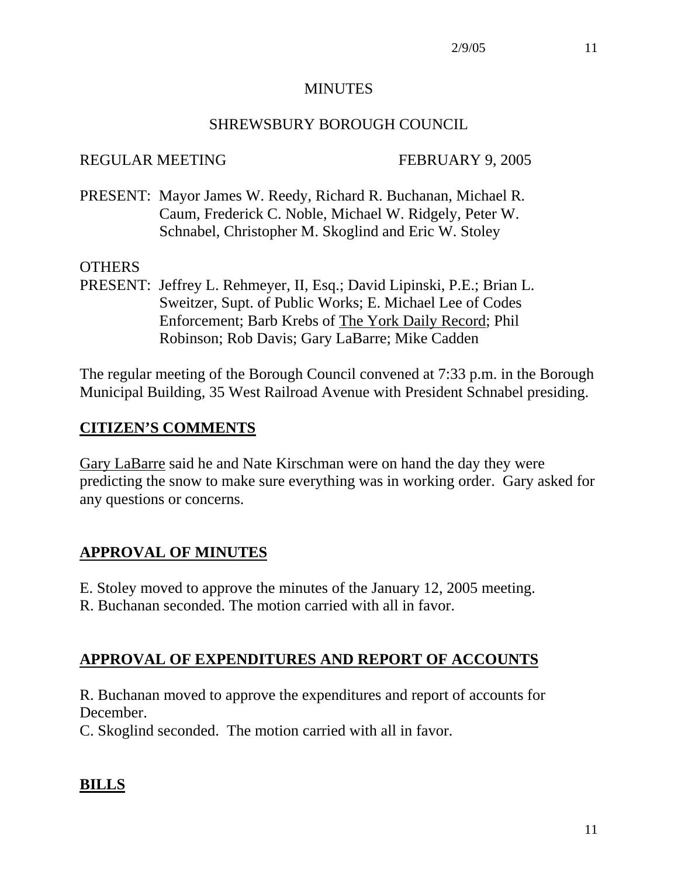### MINUTES

### SHREWSBURY BOROUGH COUNCIL

### REGULAR MEETING FEBRUARY 9, 2005

PRESENT: Mayor James W. Reedy, Richard R. Buchanan, Michael R. Caum, Frederick C. Noble, Michael W. Ridgely, Peter W. Schnabel, Christopher M. Skoglind and Eric W. Stoley

### OTHERS

PRESENT: Jeffrey L. Rehmeyer, II, Esq.; David Lipinski, P.E.; Brian L. Sweitzer, Supt. of Public Works; E. Michael Lee of Codes Enforcement; Barb Krebs of The York Daily Record; Phil Robinson; Rob Davis; Gary LaBarre; Mike Cadden

The regular meeting of the Borough Council convened at 7:33 p.m. in the Borough Municipal Building, 35 West Railroad Avenue with President Schnabel presiding.

## **CITIZEN'S COMMENTS**

Gary LaBarre said he and Nate Kirschman were on hand the day they were predicting the snow to make sure everything was in working order. Gary asked for any questions or concerns.

## **APPROVAL OF MINUTES**

- E. Stoley moved to approve the minutes of the January 12, 2005 meeting.
- R. Buchanan seconded. The motion carried with all in favor.

## **APPROVAL OF EXPENDITURES AND REPORT OF ACCOUNTS**

R. Buchanan moved to approve the expenditures and report of accounts for December.

C. Skoglind seconded. The motion carried with all in favor.

## **BILLS**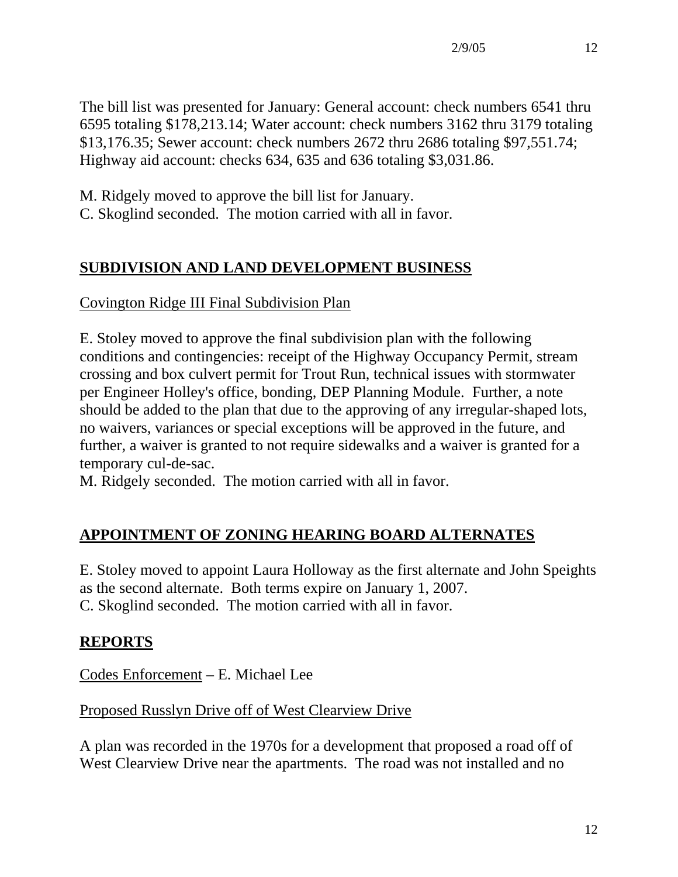The bill list was presented for January: General account: check numbers 6541 thru 6595 totaling \$178,213.14; Water account: check numbers 3162 thru 3179 totaling \$13,176.35; Sewer account: check numbers 2672 thru 2686 totaling \$97,551.74; Highway aid account: checks 634, 635 and 636 totaling \$3,031.86.

M. Ridgely moved to approve the bill list for January.

C. Skoglind seconded. The motion carried with all in favor.

# **SUBDIVISION AND LAND DEVELOPMENT BUSINESS**

Covington Ridge III Final Subdivision Plan

E. Stoley moved to approve the final subdivision plan with the following conditions and contingencies: receipt of the Highway Occupancy Permit, stream crossing and box culvert permit for Trout Run, technical issues with stormwater per Engineer Holley's office, bonding, DEP Planning Module. Further, a note should be added to the plan that due to the approving of any irregular-shaped lots, no waivers, variances or special exceptions will be approved in the future, and further, a waiver is granted to not require sidewalks and a waiver is granted for a temporary cul-de-sac.

M. Ridgely seconded. The motion carried with all in favor.

# **APPOINTMENT OF ZONING HEARING BOARD ALTERNATES**

E. Stoley moved to appoint Laura Holloway as the first alternate and John Speights as the second alternate. Both terms expire on January 1, 2007. C. Skoglind seconded. The motion carried with all in favor.

# **REPORTS**

Codes Enforcement – E. Michael Lee

## Proposed Russlyn Drive off of West Clearview Drive

A plan was recorded in the 1970s for a development that proposed a road off of West Clearview Drive near the apartments. The road was not installed and no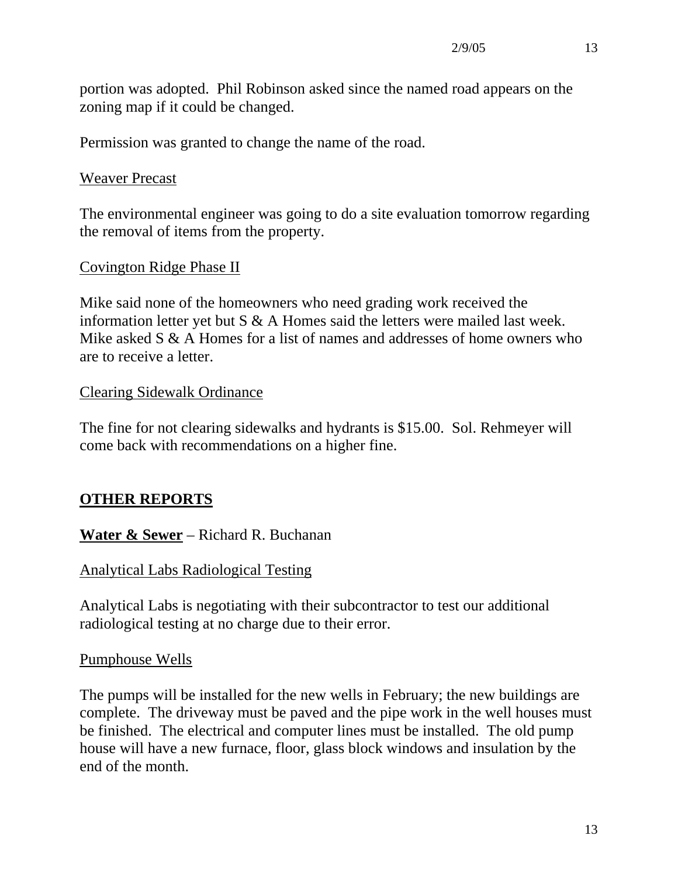portion was adopted. Phil Robinson asked since the named road appears on the zoning map if it could be changed.

Permission was granted to change the name of the road.

#### Weaver Precast

The environmental engineer was going to do a site evaluation tomorrow regarding the removal of items from the property.

#### Covington Ridge Phase II

Mike said none of the homeowners who need grading work received the information letter yet but  $S \& A$  Homes said the letters were mailed last week. Mike asked S & A Homes for a list of names and addresses of home owners who are to receive a letter.

### Clearing Sidewalk Ordinance

The fine for not clearing sidewalks and hydrants is \$15.00. Sol. Rehmeyer will come back with recommendations on a higher fine.

## **OTHER REPORTS**

**Water & Sewer** – Richard R. Buchanan

### Analytical Labs Radiological Testing

Analytical Labs is negotiating with their subcontractor to test our additional radiological testing at no charge due to their error.

#### Pumphouse Wells

The pumps will be installed for the new wells in February; the new buildings are complete. The driveway must be paved and the pipe work in the well houses must be finished. The electrical and computer lines must be installed. The old pump house will have a new furnace, floor, glass block windows and insulation by the end of the month.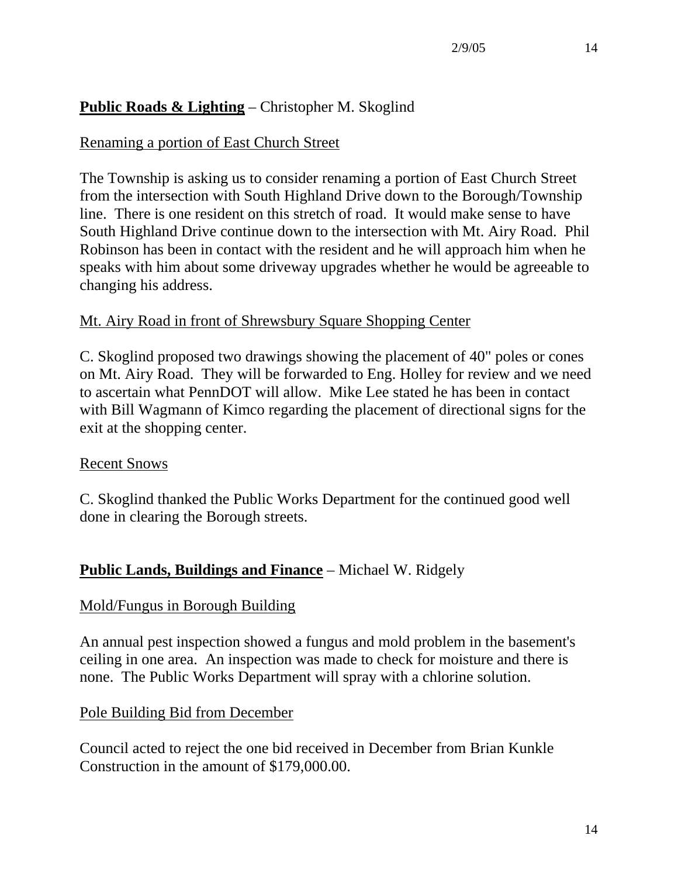## **Public Roads & Lighting** – Christopher M. Skoglind

### Renaming a portion of East Church Street

The Township is asking us to consider renaming a portion of East Church Street from the intersection with South Highland Drive down to the Borough/Township line. There is one resident on this stretch of road. It would make sense to have South Highland Drive continue down to the intersection with Mt. Airy Road. Phil Robinson has been in contact with the resident and he will approach him when he speaks with him about some driveway upgrades whether he would be agreeable to changing his address.

### Mt. Airy Road in front of Shrewsbury Square Shopping Center

C. Skoglind proposed two drawings showing the placement of 40" poles or cones on Mt. Airy Road. They will be forwarded to Eng. Holley for review and we need to ascertain what PennDOT will allow. Mike Lee stated he has been in contact with Bill Wagmann of Kimco regarding the placement of directional signs for the exit at the shopping center.

### Recent Snows

C. Skoglind thanked the Public Works Department for the continued good well done in clearing the Borough streets.

## **Public Lands, Buildings and Finance** – Michael W. Ridgely

### Mold/Fungus in Borough Building

An annual pest inspection showed a fungus and mold problem in the basement's ceiling in one area. An inspection was made to check for moisture and there is none. The Public Works Department will spray with a chlorine solution.

### Pole Building Bid from December

Council acted to reject the one bid received in December from Brian Kunkle Construction in the amount of \$179,000.00.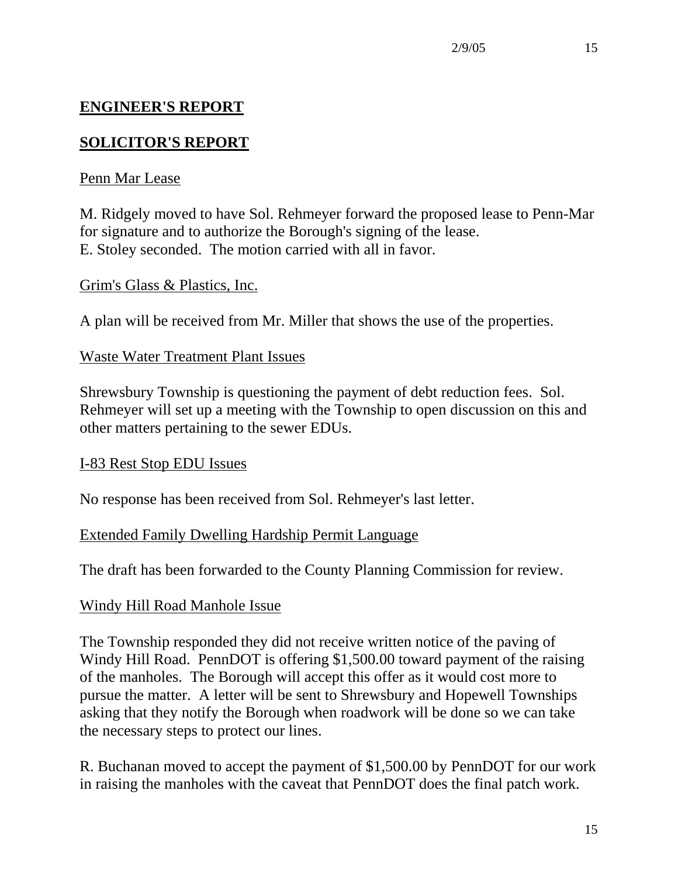## **ENGINEER'S REPORT**

## **SOLICITOR'S REPORT**

### Penn Mar Lease

M. Ridgely moved to have Sol. Rehmeyer forward the proposed lease to Penn-Mar for signature and to authorize the Borough's signing of the lease. E. Stoley seconded. The motion carried with all in favor.

### Grim's Glass & Plastics, Inc.

A plan will be received from Mr. Miller that shows the use of the properties.

### Waste Water Treatment Plant Issues

Shrewsbury Township is questioning the payment of debt reduction fees. Sol. Rehmeyer will set up a meeting with the Township to open discussion on this and other matters pertaining to the sewer EDUs.

### I-83 Rest Stop EDU Issues

No response has been received from Sol. Rehmeyer's last letter.

### Extended Family Dwelling Hardship Permit Language

The draft has been forwarded to the County Planning Commission for review.

### Windy Hill Road Manhole Issue

The Township responded they did not receive written notice of the paving of Windy Hill Road. PennDOT is offering \$1,500.00 toward payment of the raising of the manholes. The Borough will accept this offer as it would cost more to pursue the matter. A letter will be sent to Shrewsbury and Hopewell Townships asking that they notify the Borough when roadwork will be done so we can take the necessary steps to protect our lines.

R. Buchanan moved to accept the payment of \$1,500.00 by PennDOT for our work in raising the manholes with the caveat that PennDOT does the final patch work.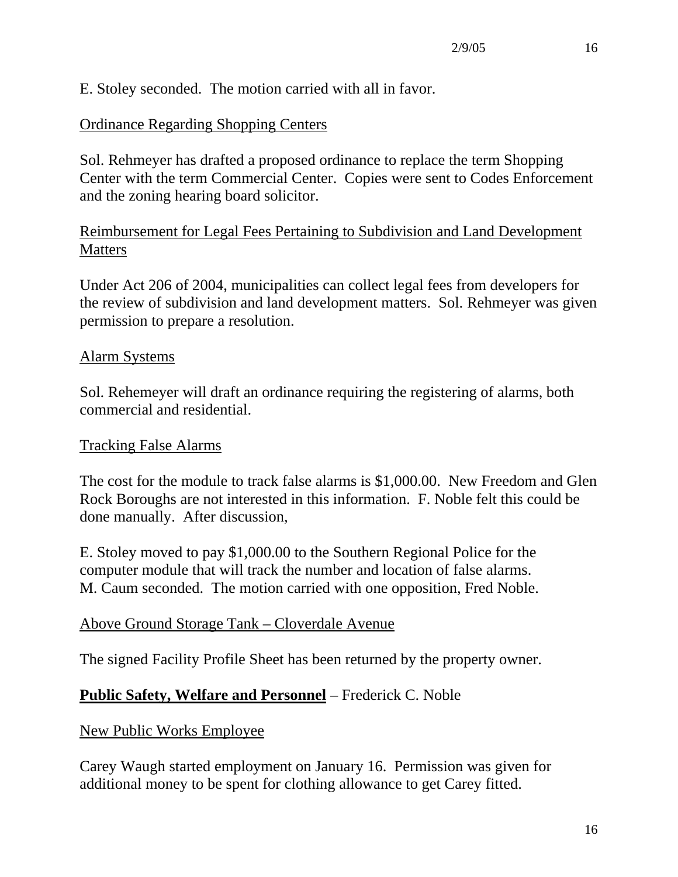E. Stoley seconded. The motion carried with all in favor.

### Ordinance Regarding Shopping Centers

Sol. Rehmeyer has drafted a proposed ordinance to replace the term Shopping Center with the term Commercial Center. Copies were sent to Codes Enforcement and the zoning hearing board solicitor.

### Reimbursement for Legal Fees Pertaining to Subdivision and Land Development **Matters**

Under Act 206 of 2004, municipalities can collect legal fees from developers for the review of subdivision and land development matters. Sol. Rehmeyer was given permission to prepare a resolution.

### Alarm Systems

Sol. Rehemeyer will draft an ordinance requiring the registering of alarms, both commercial and residential.

### Tracking False Alarms

The cost for the module to track false alarms is \$1,000.00. New Freedom and Glen Rock Boroughs are not interested in this information. F. Noble felt this could be done manually. After discussion,

E. Stoley moved to pay \$1,000.00 to the Southern Regional Police for the computer module that will track the number and location of false alarms. M. Caum seconded. The motion carried with one opposition, Fred Noble.

### Above Ground Storage Tank – Cloverdale Avenue

The signed Facility Profile Sheet has been returned by the property owner.

### **Public Safety, Welfare and Personnel** – Frederick C. Noble

New Public Works Employee

Carey Waugh started employment on January 16. Permission was given for additional money to be spent for clothing allowance to get Carey fitted.